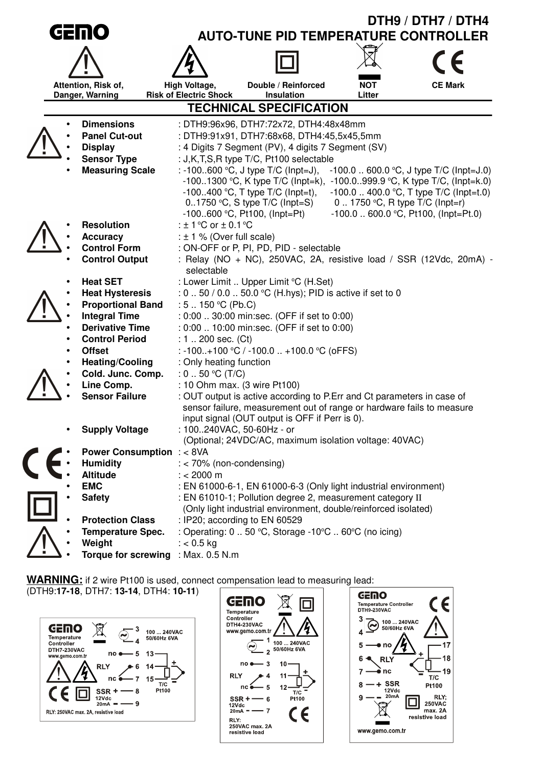|                                                                                                                                                                          |                                                                            |                                     | DTH9 / DTH7 / DTH4                          |                                                                     |                                |                                          |
|--------------------------------------------------------------------------------------------------------------------------------------------------------------------------|----------------------------------------------------------------------------|-------------------------------------|---------------------------------------------|---------------------------------------------------------------------|--------------------------------|------------------------------------------|
|                                                                                                                                                                          | GEINO                                                                      |                                     | <b>AUTO-TUNE PID TEMPERATURE CONTROLLER</b> |                                                                     |                                |                                          |
|                                                                                                                                                                          |                                                                            |                                     |                                             |                                                                     |                                |                                          |
|                                                                                                                                                                          |                                                                            |                                     |                                             |                                                                     |                                |                                          |
|                                                                                                                                                                          |                                                                            | Attention, Risk of,                 | High Voltage,                               | Double / Reinforced                                                 | <b>NOT</b>                     | <b>CE Mark</b>                           |
|                                                                                                                                                                          |                                                                            | Danger, Warning                     | <b>Risk of Electric Shock</b>               | Insulation                                                          | Litter                         |                                          |
|                                                                                                                                                                          | <b>TECHNICAL SPECIFICATION</b>                                             |                                     |                                             |                                                                     |                                |                                          |
|                                                                                                                                                                          | <b>Dimensions</b><br>: DTH9:96x96, DTH7:72x72, DTH4:48x48mm                |                                     |                                             |                                                                     |                                |                                          |
|                                                                                                                                                                          |                                                                            | <b>Panel Cut-out</b>                |                                             | : DTH9:91x91, DTH7:68x68, DTH4:45,5x45,5mm                          |                                |                                          |
|                                                                                                                                                                          |                                                                            | <b>Display</b>                      |                                             | : 4 Digits 7 Segment (PV), 4 digits 7 Segment (SV)                  |                                |                                          |
|                                                                                                                                                                          |                                                                            | <b>Sensor Type</b>                  |                                             | : J,K,T,S,R type T/C, Pt100 selectable                              |                                |                                          |
|                                                                                                                                                                          |                                                                            | <b>Measuring Scale</b>              |                                             | : -100600 °C, J type T/C (Inpt=J),                                  |                                | $-100.0$ 600.0 °C, J type T/C (lnpt=J.0) |
|                                                                                                                                                                          |                                                                            |                                     |                                             | -1001300 °C, K type $T/C$ (lnpt=k),                                 |                                | -100.0999.9 °C, K type T/C, (Inpt=k.0)   |
|                                                                                                                                                                          |                                                                            |                                     |                                             | $-100400$ °C, T type T/C (lnpt=t),                                  |                                | $-100.0$ 400.0 °C, T type T/C (lnpt=t.0) |
|                                                                                                                                                                          |                                                                            |                                     |                                             | $0.1750$ °C, S type T/C (lnpt=S)<br>$-100600$ °C, Pt100, (lnpt=Pt)  | 0 1750 °C, R type T/C (Inpt=r) | $-100.0$ 600.0 °C, Pt100, (lnpt=Pt.0)    |
|                                                                                                                                                                          |                                                                            | <b>Resolution</b>                   | : $\pm$ 1 °C or $\pm$ 0.1 °C                |                                                                     |                                |                                          |
|                                                                                                                                                                          |                                                                            | <b>Accuracy</b>                     | : $\pm$ 1 % (Over full scale)               |                                                                     |                                |                                          |
|                                                                                                                                                                          |                                                                            | <b>Control Form</b>                 |                                             | : ON-OFF or P, PI, PD, PID - selectable                             |                                |                                          |
|                                                                                                                                                                          |                                                                            | <b>Control Output</b>               |                                             | : Relay (NO + NC), 250VAC, 2A, resistive load / SSR (12Vdc, 20mA) - |                                |                                          |
|                                                                                                                                                                          |                                                                            |                                     | selectable                                  |                                                                     |                                |                                          |
|                                                                                                                                                                          |                                                                            | <b>Heat SET</b>                     |                                             | : Lower Limit  Upper Limit °C (H.Set)                               |                                |                                          |
|                                                                                                                                                                          |                                                                            | <b>Heat Hysteresis</b>              |                                             | : 0 . 50 / 0.0 . 50.0 °C (H.hys); PID is active if set to 0         |                                |                                          |
|                                                                                                                                                                          |                                                                            | <b>Proportional Band</b>            | : $5 \dots 150$ °C (Pb.C)                   |                                                                     |                                |                                          |
|                                                                                                                                                                          |                                                                            | <b>Integral Time</b>                |                                             | : 0:00  30:00 min:sec. (OFF if set to 0:00)                         |                                |                                          |
|                                                                                                                                                                          |                                                                            | <b>Derivative Time</b>              |                                             | : 0:00  10:00 min:sec. (OFF if set to 0:00)                         |                                |                                          |
|                                                                                                                                                                          |                                                                            | <b>Control Period</b>               | : $1.200$ sec. (Ct)                         |                                                                     |                                |                                          |
|                                                                                                                                                                          |                                                                            | <b>Offset</b>                       |                                             | : -100+100 °C / -100.0  +100.0 °C (oFFS)                            |                                |                                          |
|                                                                                                                                                                          |                                                                            | <b>Heating/Cooling</b>              | : Only heating function                     |                                                                     |                                |                                          |
|                                                                                                                                                                          |                                                                            | Cold. Junc. Comp.                   | : $0.50$ °C (T/C)                           |                                                                     |                                |                                          |
|                                                                                                                                                                          |                                                                            | Line Comp.                          |                                             | : 10 Ohm max. (3 wire Pt100)                                        |                                |                                          |
| <b>Sensor Failure</b><br>: OUT output is active according to P.Err and Ct parameters in case of<br>sensor failure, measurement out of range or hardware fails to measure |                                                                            |                                     |                                             |                                                                     |                                |                                          |
|                                                                                                                                                                          |                                                                            |                                     |                                             | input signal (OUT output is OFF if Perr is 0).                      |                                |                                          |
|                                                                                                                                                                          |                                                                            | <b>Supply Voltage</b>               |                                             | : 100240VAC, 50-60Hz - or                                           |                                |                                          |
|                                                                                                                                                                          |                                                                            |                                     |                                             | (Optional; 24VDC/AC, maximum isolation voltage: 40VAC)              |                                |                                          |
|                                                                                                                                                                          |                                                                            | <b>Power Consumption : &lt; 8VA</b> |                                             |                                                                     |                                |                                          |
|                                                                                                                                                                          |                                                                            | <b>Humidity</b>                     | $:$ < 70% (non-condensing)                  |                                                                     |                                |                                          |
|                                                                                                                                                                          |                                                                            | <b>Altitude</b>                     | $: < 2000 \text{ m}$                        |                                                                     |                                |                                          |
|                                                                                                                                                                          |                                                                            | <b>EMC</b>                          |                                             | : EN 61000-6-1, EN 61000-6-3 (Only light industrial environment)    |                                |                                          |
|                                                                                                                                                                          | : EN 61010-1; Pollution degree 2, measurement category II<br><b>Safety</b> |                                     |                                             |                                                                     |                                |                                          |
|                                                                                                                                                                          |                                                                            |                                     |                                             | (Only light industrial environment, double/reinforced isolated)     |                                |                                          |
|                                                                                                                                                                          |                                                                            | <b>Protection Class</b>             |                                             | : IP20; according to EN 60529                                       |                                |                                          |
|                                                                                                                                                                          |                                                                            | <b>Temperature Spec.</b>            |                                             | : Operating: 0  50 °C, Storage -10°C  60°C (no icing)               |                                |                                          |
|                                                                                                                                                                          |                                                                            | Weight                              | $: < 0.5$ kg                                |                                                                     |                                |                                          |
|                                                                                                                                                                          |                                                                            | <b>Torque for screwing</b>          | : Max. 0.5 N.m                              |                                                                     |                                |                                          |

**WARNING:** if 2 wire Pt100 is used, connect compensation lead to measuring lead:

(DTH9:**17-18**, DTH7: **13-14**, DTH4: **10-11**)





 $\boldsymbol{\zeta}$ 

17

 $18$ 

19

Pt100

RLY;<br>
250VAC<br>
max. 2A<br>
resistive load

 $\hat{\mathcal{H}}$ 

Ξ  $\mathsf{T}/\mathsf{C}$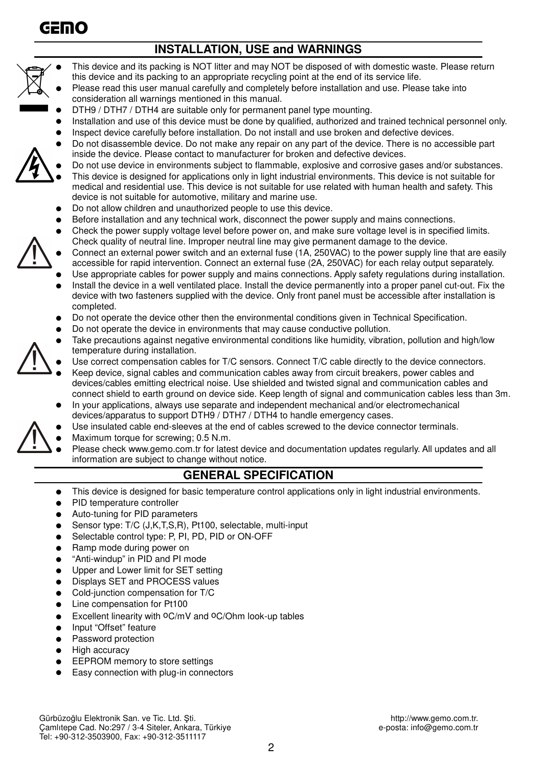

# **INSTALLATION, USE and WARNINGS**



- This device and its packing is NOT litter and may NOT be disposed of with domestic waste. Please return this device and its packing to an appropriate recycling point at the end of its service life.
- Please read this user manual carefully and completely before installation and use. Please take into consideration all warnings mentioned in this manual.
- DTH9 / DTH7 / DTH4 are suitable only for permanent panel type mounting.
- Installation and use of this device must be done by qualified, authorized and trained technical personnel only.
- Inspect device carefully before installation. Do not install and use broken and defective devices.
- Do not disassemble device. Do not make any repair on any part of the device. There is no accessible part inside the device. Please contact to manufacturer for broken and defective devices.
- Do not use device in environments subject to flammable, explosive and corrosive gases and/or substances. This device is designed for applications only in light industrial environments. This device is not suitable for medical and residential use. This device is not suitable for use related with human health and safety. This device is not suitable for automotive, military and marine use.
- Do not allow children and unauthorized people to use this device.
- Before installation and any technical work, disconnect the power supply and mains connections.
- Check the power supply voltage level before power on, and make sure voltage level is in specified limits. Check quality of neutral line. Improper neutral line may give permanent damage to the device.
- Connect an external power switch and an external fuse (1A, 250VAC) to the power supply line that are easily accessible for rapid intervention. Connect an external fuse (2A, 250VAC) for each relay output separately.
- Use appropriate cables for power supply and mains connections. Apply safety regulations during installation.
- Install the device in a well ventilated place. Install the device permanently into a proper panel cut-out. Fix the device with two fasteners supplied with the device. Only front panel must be accessible after installation is completed.
- Do not operate the device other then the environmental conditions given in Technical Specification.
- Do not operate the device in environments that may cause conductive pollution.
- Take precautions against negative environmental conditions like humidity, vibration, pollution and high/low temperature during installation.
- Use correct compensation cables for T/C sensors. Connect T/C cable directly to the device connectors.
- Keep device, signal cables and communication cables away from circuit breakers, power cables and devices/cables emitting electrical noise. Use shielded and twisted signal and communication cables and connect shield to earth ground on device side. Keep length of signal and communication cables less than 3m.
- In your applications, always use separate and independent mechanical and/or electromechanical devices/apparatus to support DTH9 / DTH7 / DTH4 to handle emergency cases.
- Use insulated cable end-sleeves at the end of cables screwed to the device connector terminals.
- Maximum torque for screwing; 0.5 N.m.
- Please check www.gemo.com.tr for latest device and documentation updates regularly. All updates and all information are subject to change without notice.

### **GENERAL SPECIFICATION**

- This device is designed for basic temperature control applications only in light industrial environments.
- PID temperature controller
- Auto-tuning for PID parameters
- Sensor type: T/C (J,K,T,S,R), Pt100, selectable, multi-input
- Selectable control type: P, PI, PD, PID or ON-OFF
- Ramp mode during power on
- "Anti-windup" in PID and PI mode
- Upper and Lower limit for SET setting
- Displays SET and PROCESS values
- Cold-junction compensation for T/C
- Line compensation for Pt100
- Excellent linearity with  $O C/MV$  and  $O C/O$ hm look-up tables
- Input "Offset" feature
- Password protection
- **High accuracy**
- EEPROM memory to store settings
- Easy connection with plug-in connectors

Gürbüzoğlu Elektronik San. ve Tic. Ltd. Şti. http://www.gemo.com.tr. http://www.gemo.com.tr. http://www.gemo.com.tr<br>Camlitepe Cad. No:297 / 3-4 Siteler, Ankara, Türkiye betalerinin betalerinin e-posta: info@gemo.com.tr Camlıtepe Cad. No:297 / 3-4 Siteler, Ankara, Türkiye Tel: +90-312-3503900, Fax: +90-312-3511117

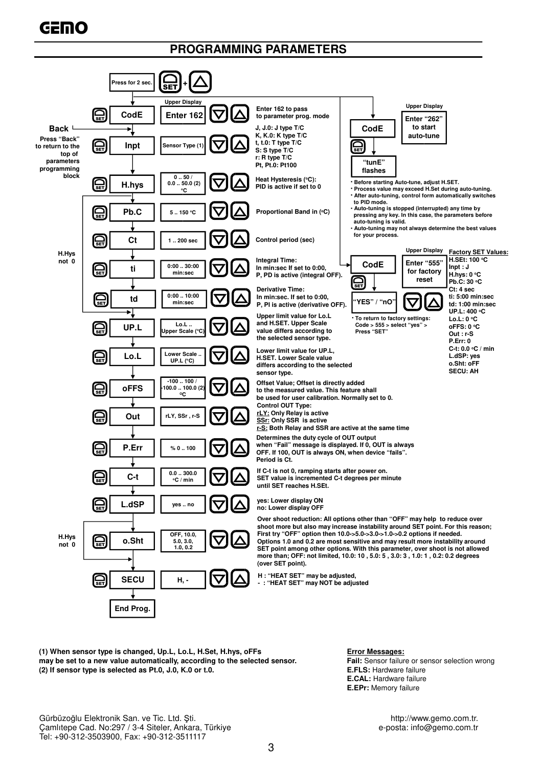## **PROGRAMMING PARAMETERS**



**(1) When sensor type is changed, Up.L, Lo.L, H.Set, H.hys, oFFs Error Messages: may be set to a new value automatically, according to the selected sensor. Fail:** Sensor failure or sensor selection wrong **(2) If sensor type is selected as Pt.0, J.0, K.0 or t.0. E.FLS: Hardware failure E.FLS: Hardware failure** 

**E.CAL:** Hardware failure **E.EPr:** Memory failure

Gürbüzoğlu Elektronik San. ve Tic. Ltd. Şti. http://www.gemo.com.tr. http://www.gemo.com.tr. http://www.gemo.com.tr<br>Camlitepe Cad. No:297 / 3-4 Siteler, Ankara, Türkiye betalerinin betalerinin e-posta: info@gemo.com.tr Camlıtepe Cad. No:297 / 3-4 Siteler, Ankara, Türkiye Tel: +90-312-3503900, Fax: +90-312-3511117